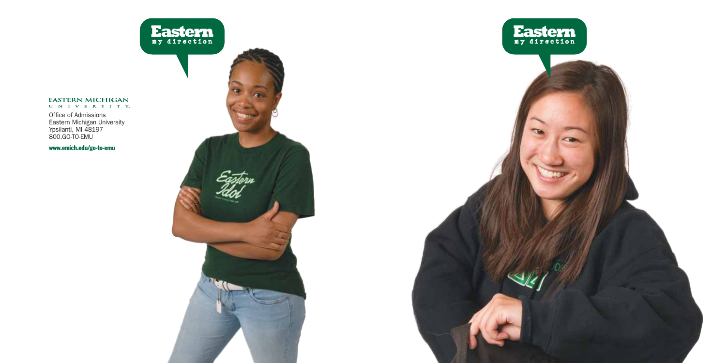# EASTERN MICHIGAN

Office of Admissions Eastern Michigan University Ypsilanti, MI 48197 800.GO-TO-EMU



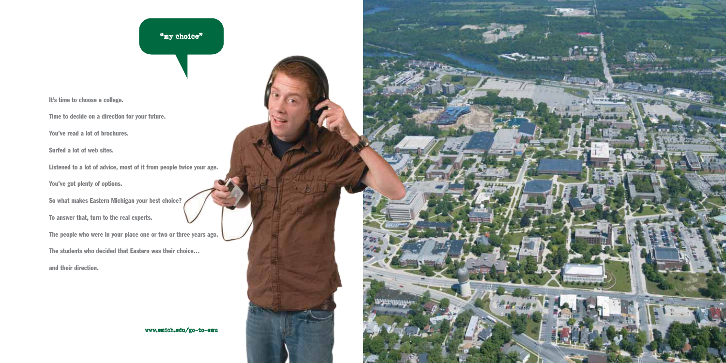# "ny choice"

It's time to choose a college.

Time to decide on a direction for your future.

You've read a lot of brochures.

Surfed a lot of web sites.

Listened to a lot of advice, most of it from people twice your age.

You've got plenty of options.

So what makes Eastern Michigan your best choice?

To answer that, turn to the real experts.

The people who were in your place one or two or three years ago.

The students who decided that Eastern was their choice…

and their direction.



**BEE SPORT**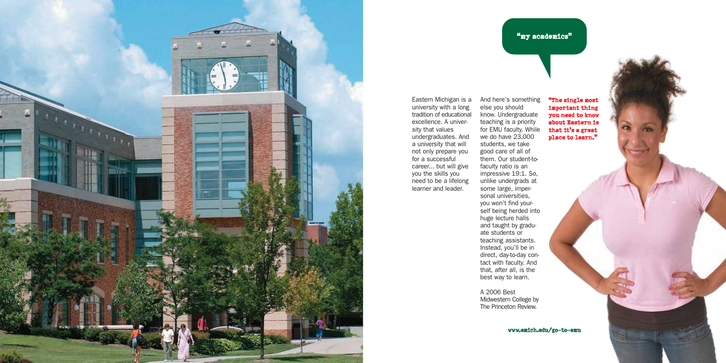

Eastern Michigan is a university with a long tradition of educational excellence. A university that values undergraduates. And a university that will not only prepare you for a successful career... but will give you the skills you need to be a lifelong learner and leader.

And here's something else you should know. Undergraduate teaching is a priority for EMU faculty. While we do have 23,000 students, we take good care of all of

"ny academics"

them. Our student-tofaculty ratio is an impressive 19:1. So, unlike undergrads at some large, impersonal universities, you won't find yourself being herded into huge lecture halls and taught by graduate students or teaching assistants. Instead, you'll be in direct, day-to-day contact with faculty. And that, after all, is the best way to learn.

A 2006 Best

Midwestern College by The Princeton Review.

"The single most important thing you need to know about Eastern is that it's a great place to learn."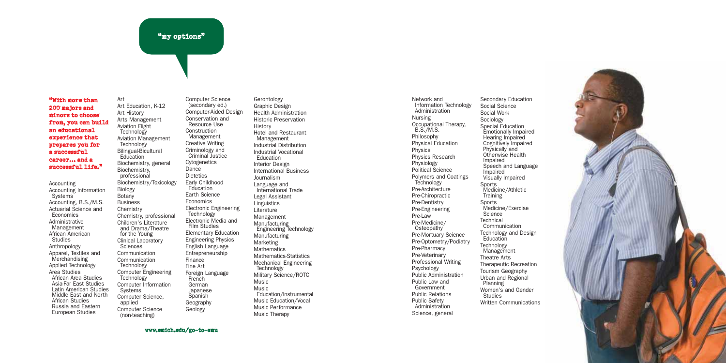#### "ny options"

### "With more than 200 majors and minors to choose from, you can build an educational experience that prepares you for a successful career… and a successful life."

Art

Biology Botany Business **Chemistry** 

**Sciences** 

**Systems** 

applied

Accounting Accounting Information **Systems** Accounting, B.S./M.S. Actuarial Science and Economics Administrative Management African American Studies Anthropology Apparel, Textiles and Merchandising Applied Technology Area Studies African Area Studies Asia-Far East Studies Latin American Studies Middle East and North African Studies Russia and Eastern European Studies

Art Education, K-12 Art History Arts Management Aviation Flight **Technology** Aviation Management Technology Bilingual-Bicultural **Education** Biochemistry, general Biochemistry, professional Biochemistry/Toxicology Chemistry, professional Children's Literature and Drama/Theatre for the Young Clinical Laboratory Communication Communication Technology Computer Engineering **Technology** Computer Information Computer Science, Computer Science (non-teaching) Computer Science (secondary ed.) Computer-Aided Design Conservation and Resource Use Construction Management Creative Writing Criminology and Criminal Justice Cytogenetics Dance **Dietetics** Early Childhood **Education** Earth Science **Economics** Electronic Engineering **Technology** Electronic Media and Film Studies Elementary Education Engineering Physics English Language Entrepreneurship Finance Fine Art Foreign Language **French** German Japanese **Spanish** Geography Geology

Gerontology Graphic Design Health Administration Historic Preservation History Hotel and Restaurant Management Industrial Distribution Industrial Vocational Education Interior Design International Business Journalism Language and International Trade Legal Assistant Linguistics Literature Management **Manufacturing** Engineering Technology Manufacturing **Marketing Mathematics** Mathematics-Statistics Mechanical Engineering Technology Military Science/ROTC Music Music Education/Instrumental Music Education/Vocal Music Performance Music Therapy

Network and Information Technology Administration Nursing Occupational Therapy, B.S./M.S. Philosophy Physical Education Physics Physics Research Physiology Political Science Polymers and Coatings **Technology** Pre-Architecture Pre-Chiropractic Pre-Dentistry Pre-Engineering Pre-Law Pre-Medicine/ **Osteopathy** Pre-Mortuary Science Pre-Optometry/Podiatry Pre-Pharmacy Pre-Veterinary Professional Writing Psychology Public Administration Public Law and Government Public Relations Public Safety Administration Science, general

Secondary Education Social Science Social Work Sociology Special Education Emotionally Impaired Hearing Impaired Cognitively Impaired Physically and Otherwise Health Impaired Speech and Language Impaired Visually Impaired Sports Medicine/Athletic **Training** Sports Medicine/Exercise Science **Technical** Communication Technology and Design **Education Technology** Management Theatre Arts Therapeutic Recreation Tourism Geography Urban and Regional Planning Women's and Gender Studies Written Communications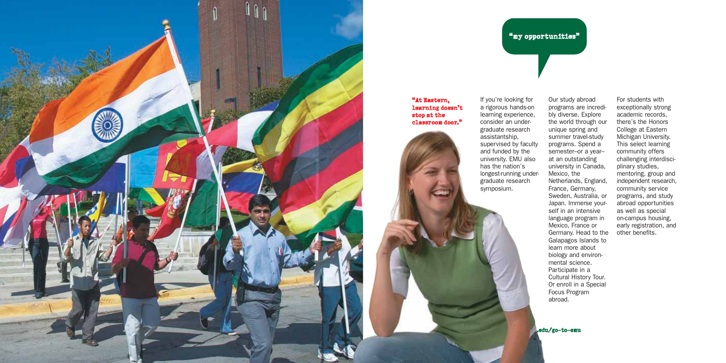

#### "At Eastern, learning doesn't stop at the classroom door."



If you're looking for a rigorous hands-on learning experience, consider an undergraduate research assistantship, supervised by faculty and funded by the university. EMU also has the nation's longest-running undergraduate research symposium.

"my opportunities"

Our study abroad programs are incredibly diverse. Explore the world through our unique spring and summer travel-study programs. Spend a semester–or a year– at an outstanding university in Canada, Mexico, the Netherlands, England, France, Germany, Sweden, Australia, or Japan. Immerse yourself in an intensive language program in Mexico, France or Germany. Head to the Galapagos Islands to learn more about biology and environmental science. Participate in a Cultural History Tour. Or enroll in a Special Focus Program

For students with exceptionally strong academic records, there's the Honors College at Eastern Michigan University. This select learning community offers challenging interdisciplinary studies, mentoring, group and independent research, community service programs, and study abroad opportunities as well as special on-campus housing, early registration, and other benefits.

.edu/go-to-emu

abroad.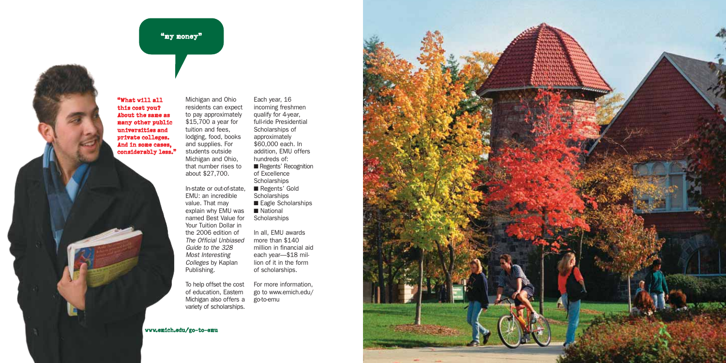# "ny noney"

"What will all this cost you? About the same as many other public universities and private colleges. And in some cases, considerably less."

Michigan and Ohio residents can expect to pay approximately \$15,700 a year for tuition and fees, lodging, food, books and supplies. For students outside Michigan and Ohio, that number rises to about \$27,700.

In-state or out-of-state, EMU: an incredible value. That may explain why EMU was named Best Value for Your Tuition Dollar in the 2006 edition of The Official Unbiased Guide to the 328 Most Interesting Colleges by Kaplan Publishing.

incoming freshmen qualify for 4-year, full-ride Presidential Scholarships of approximately \$60,000 each. In addition, EMU offers hundreds of: ■ Regents' Recognition of Excellence **Scholarships** ■ Regents' Gold **Scholarships** ■ Eagle Scholarships ■ National **Scholarships** In all, EMU awards

Each year, 16

more than \$140 million in financial aid each year—\$18 million of it in the form of scholarships.

To help offset the cost of education, Eastern Michigan also offers a variety of scholarships. For more information, go to www.emich.edu/ go-to-emu

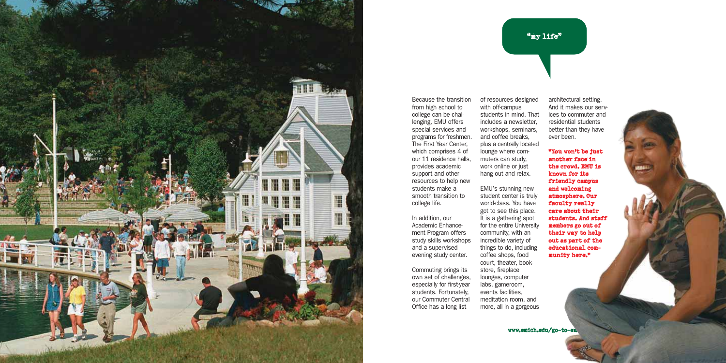

Because the transition from high school to college can be challenging, EMU offers special services and programs for freshmen. The First Year Center, which comprises 4 of our 11 residence halls, provides academic support and other resources to help new students make a smooth transition to college life.

In addition, our Academic Enhancement Program offers study skills workshops and a supervised evening study center.

Commuting brings its own set of challenges, especially for first-year students. Fortunately, our Commuter Central Office has a long list

of resources designed with off-campus students in mind. That includes a newsletter, workshops, seminars, and coffee breaks, plus a centrally located lounge where commuters can study, work online or just hang out and relax.

EMU's stunning new student center is truly world-class. You have got to see this place. It is a gathering spot for the entire University community, with an incredible variety of things to do, including coffee shops, food court, theater, bookstore, fireplace lounges, computer labs, gameroom, events facilities, meditation room, and more, all in a gorgeous

architectural setting. And it makes our services to commuter and residential students better than they have ever been.

"my life"

"You won't be just another face in the crowd. EMU is known for its friendly campus and welcoming atmosphere. Our faculty really care about their students. And staff members go out of their way to help out as part of the educational community here."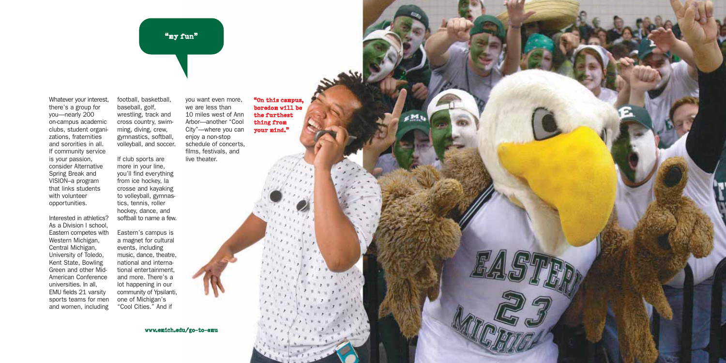"my fun"

Whatever your interest, there's a group for you—nearly 200 on-campus academic clubs, student organizations, fraternities and sororities in all. If community service is your passion, consider Alternative Spring Break and VISION–a program that links students with volunteer opportunities.

Interested in athletics? As a Division I school, Eastern competes with Western Michigan, Central Michigan, University of Toledo, Kent State, Bowling Green and other Mid-American Conference universities. In all, EMU fields 21 varsity sports teams for men and women, including baseball, golf, wrestling, track and cross country, swimming, diving, crew, gymnastics, softball, volleyball, and soccer. If club sports are more in your line, you'll find everything from ice hockey, la crosse and kayaking to volleyball, gymnastics, tennis, roller hockey, dance, and live theater.

softball to name a few.

football, basketball,

Eastern's campus is a magnet for cultural events, including music, dance, theatre, national and international entertainment, and more. There's a lot happening in our community of Ypsilanti, one of Michigan's "Cool Cities." And if

you want even more, we are less than 10 miles west of Ann Arbor—another "Cool City"—where you can enjoy a non-stop schedule of concerts, films, festivals, and "On this campus, boredom will be the furthest thing from your mind."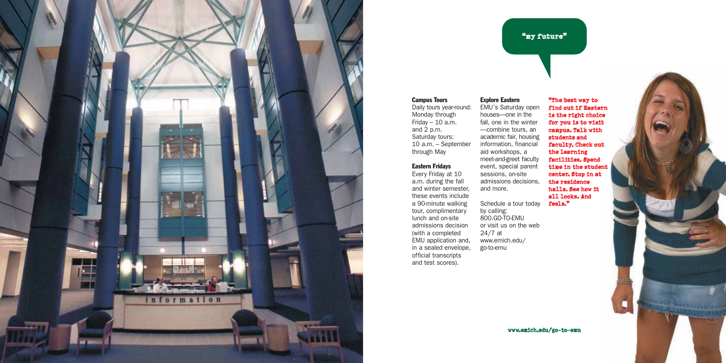

# "my future"

### Campus Tours

Daily tours year-round: Monday through Friday  $-10$  a.m. and 2 p.m. Saturday tours: 10 a.m. – September through May

## Eastern Fridays

Every Friday at 10 a.m. during the fall and winter semester, these events include a 90-minute walking tour, complimentary lunch and on-site admissions decision (with a completed EMU application and, in a sealed envelope, official transcripts and test scores).

Explore Eastern EMU's Saturday open houses—one in the fall, one in the winter —combine tours, an academic fair, housing information, financial aid workshops, a meet-and-greet faculty event, special parent sessions, on-site admissions decisions, and more.

Schedule a tour today by calling: 800.GO-TO-EMU or visit us on the web 24/7 at www.emich.edu/ go-to-emu

"The best way to find out if Eastern is the right choice for you is to visit campus. Talk with students and faculty. Check out the learning facilities. Spend time in the student center. Stop in at the residence halls. See how it all looks. And feels."

c